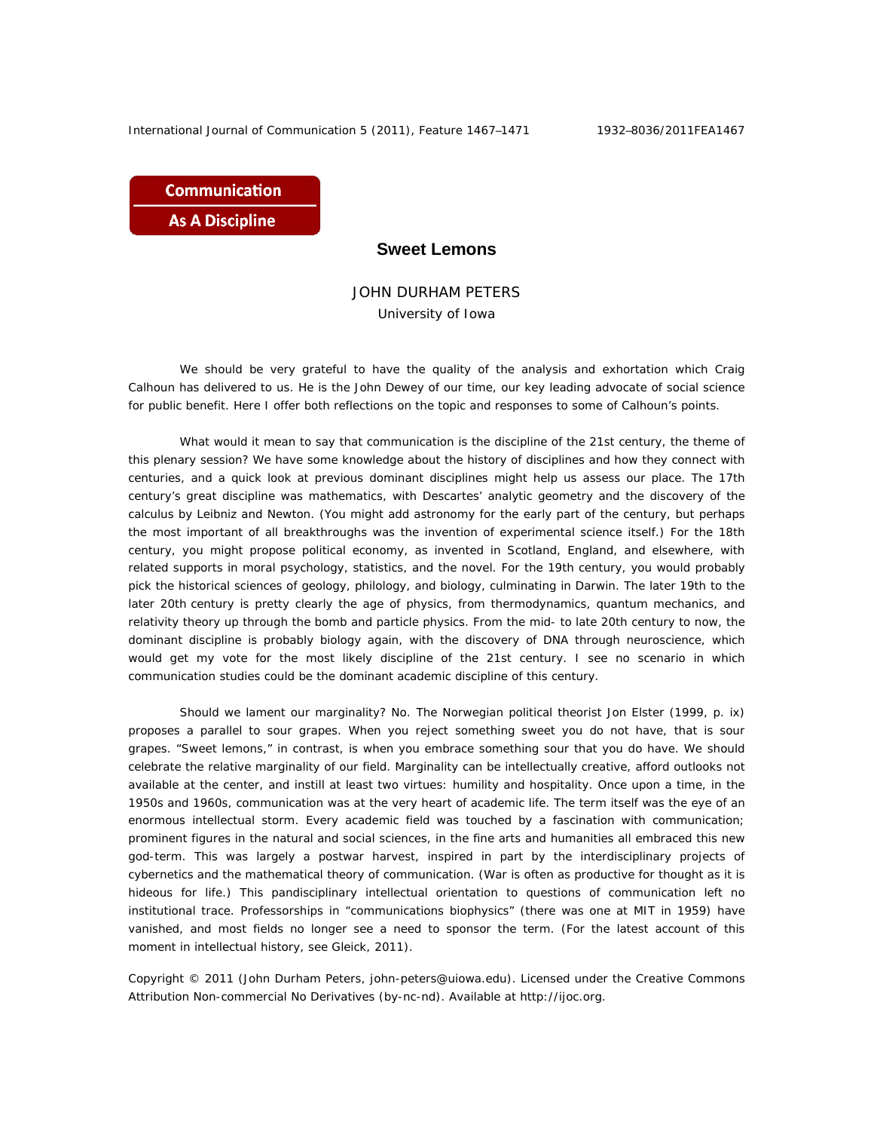International Journal of Communication 5 (2011), Feature 1467-1471 1932-8036/2011FEA1467

**Communication As A Discipline** 

## **Sweet Lemons**

## JOHN DURHAM PETERS University of Iowa

We should be very grateful to have the quality of the analysis and exhortation which Craig Calhoun has delivered to us. He is the John Dewey of our time, our key leading advocate of social science for public benefit. Here I offer both reflections on the topic and responses to some of Calhoun's points.

What would it mean to say that communication is the discipline of the 21st century, the theme of this plenary session? We have some knowledge about the history of disciplines and how they connect with centuries, and a quick look at previous dominant disciplines might help us assess our place. The 17th century's great discipline was mathematics, with Descartes' analytic geometry and the discovery of the calculus by Leibniz and Newton. (You might add astronomy for the early part of the century, but perhaps the most important of all breakthroughs was the invention of experimental science itself.) For the 18th century, you might propose political economy, as invented in Scotland, England, and elsewhere, with related supports in moral psychology, statistics, and the novel. For the 19th century, you would probably pick the historical sciences of geology, philology, and biology, culminating in Darwin. The later 19th to the later 20th century is pretty clearly the age of physics, from thermodynamics, quantum mechanics, and relativity theory up through the bomb and particle physics. From the mid- to late 20th century to now, the dominant discipline is probably biology again, with the discovery of DNA through neuroscience, which would get my vote for the most likely discipline of the 21st century. I see no scenario in which communication studies could be the dominant academic discipline of this century.

Should we lament our marginality? No. The Norwegian political theorist Jon Elster (1999, p. ix) proposes a parallel to sour grapes. When you reject something sweet you do not have, that is sour grapes. "Sweet lemons," in contrast, is when you embrace something sour that you do have. We should celebrate the relative marginality of our field. Marginality can be intellectually creative, afford outlooks not available at the center, and instill at least two virtues: humility and hospitality. Once upon a time, in the 1950s and 1960s, communication was at the very heart of academic life. The term itself was the eye of an enormous intellectual storm. Every academic field was touched by a fascination with communication; prominent figures in the natural and social sciences, in the fine arts and humanities all embraced this new god-term. This was largely a postwar harvest, inspired in part by the interdisciplinary projects of cybernetics and the mathematical theory of communication. (War is often as productive for thought as it is hideous for life.) This pandisciplinary intellectual orientation to questions of communication left no institutional trace. Professorships in "communications biophysics" (there was one at MIT in 1959) have vanished, and most fields no longer see a need to sponsor the term. (For the latest account of this moment in intellectual history, see Gleick, 2011).

Copyright © 2011 (John Durham Peters, john-peters@uiowa.edu). Licensed under the Creative Commons Attribution Non-commercial No Derivatives (by-nc-nd). Available at http://ijoc.org.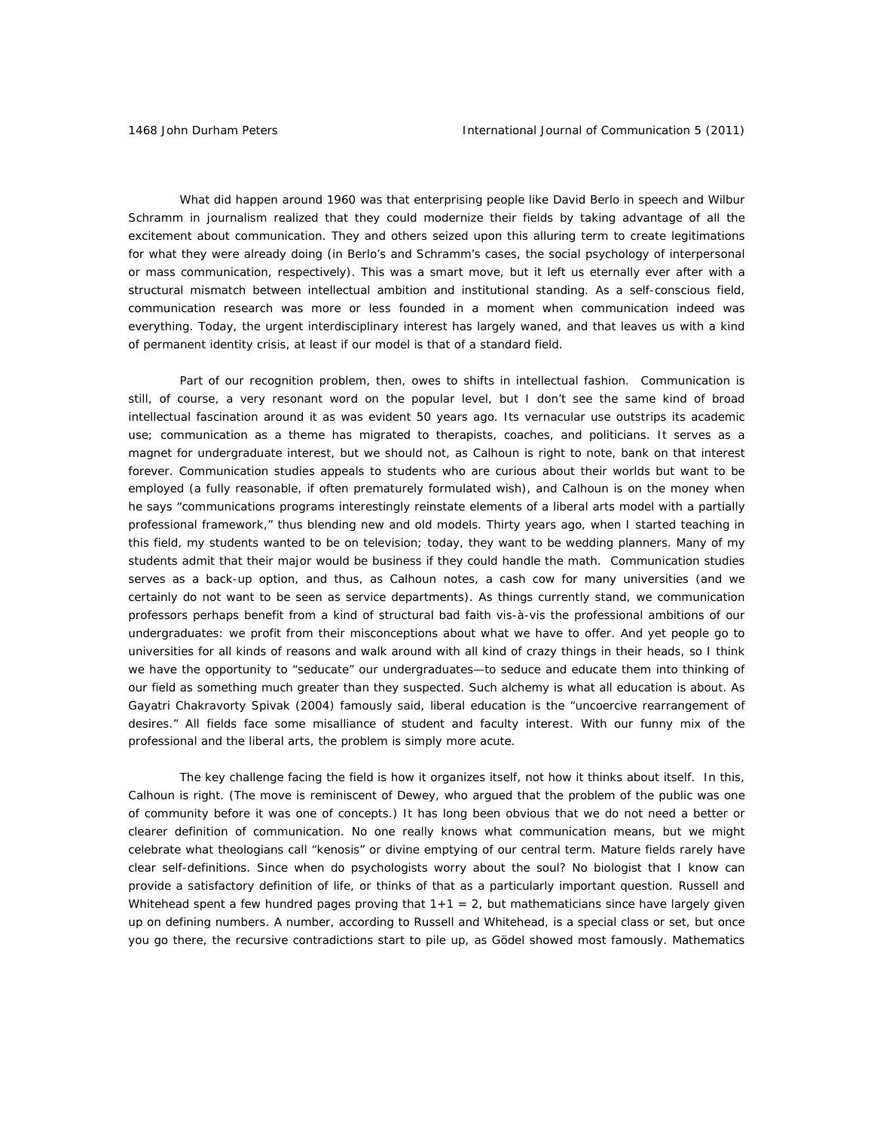What did happen around 1960 was that enterprising people like David Berlo in speech and Wilbur Schramm in journalism realized that they could modernize their fields by taking advantage of all the excitement about communication. They and others seized upon this alluring term to create legitimations for what they were already doing (in Berlo's and Schramm's cases, the social psychology of interpersonal or mass communication, respectively). This was a smart move, but it left us eternally ever after with a structural mismatch between intellectual ambition and institutional standing. As a self-conscious field, communication research was more or less founded in a moment when communication indeed was everything. Today, the urgent interdisciplinary interest has largely waned, and that leaves us with a kind of permanent identity crisis, at least if our model is that of a standard field.

Part of our recognition problem, then, owes to shifts in intellectual fashion. Communication is still, of course, a very resonant word on the popular level, but I don't see the same kind of broad intellectual fascination around it as was evident 50 years ago. Its vernacular use outstrips its academic use; communication as a theme has migrated to therapists, coaches, and politicians. It serves as a magnet for undergraduate interest, but we should not, as Calhoun is right to note, bank on that interest forever. Communication studies appeals to students who are curious about their worlds but want to be employed (a fully reasonable, if often prematurely formulated wish), and Calhoun is on the money when he says "communications programs interestingly reinstate elements of a liberal arts model with a partially professional framework," thus blending new and old models. Thirty years ago, when I started teaching in this field, my students wanted to be on television; today, they want to be wedding planners. Many of my students admit that their major would be business if they could handle the math. Communication studies serves as a back-up option, and thus, as Calhoun notes, a cash cow for many universities (and we certainly do not want to be seen as service departments). As things currently stand, we communication professors perhaps benefit from a kind of structural bad faith vis-à-vis the professional ambitions of our undergraduates: we profit from their misconceptions about what we have to offer. And yet people go to universities for all kinds of reasons and walk around with all kind of crazy things in their heads, so I think we have the opportunity to "seducate" our undergraduates—to seduce and educate them into thinking of our field as something much greater than they suspected. Such alchemy is what all education is about. As Gayatri Chakravorty Spivak (2004) famously said, liberal education is the "uncoercive rearrangement of desires." All fields face some misalliance of student and faculty interest. With our funny mix of the professional and the liberal arts, the problem is simply more acute.

The key challenge facing the field is how it organizes itself, not how it thinks about itself. In this, Calhoun is right. (The move is reminiscent of Dewey, who argued that the problem of the public was one of community before it was one of concepts.) It has long been obvious that we do not need a better or clearer definition of communication. No one really knows what communication means, but we might celebrate what theologians call "kenosis" or divine emptying of our central term. Mature fields rarely have clear self-definitions. Since when do psychologists worry about the soul? No biologist that I know can provide a satisfactory definition of life, or thinks of that as a particularly important question. Russell and Whitehead spent a few hundred pages proving that  $1+1 = 2$ , but mathematicians since have largely given up on defining numbers. A number, according to Russell and Whitehead, is a special class or set, but once you go there, the recursive contradictions start to pile up, as Gödel showed most famously. Mathematics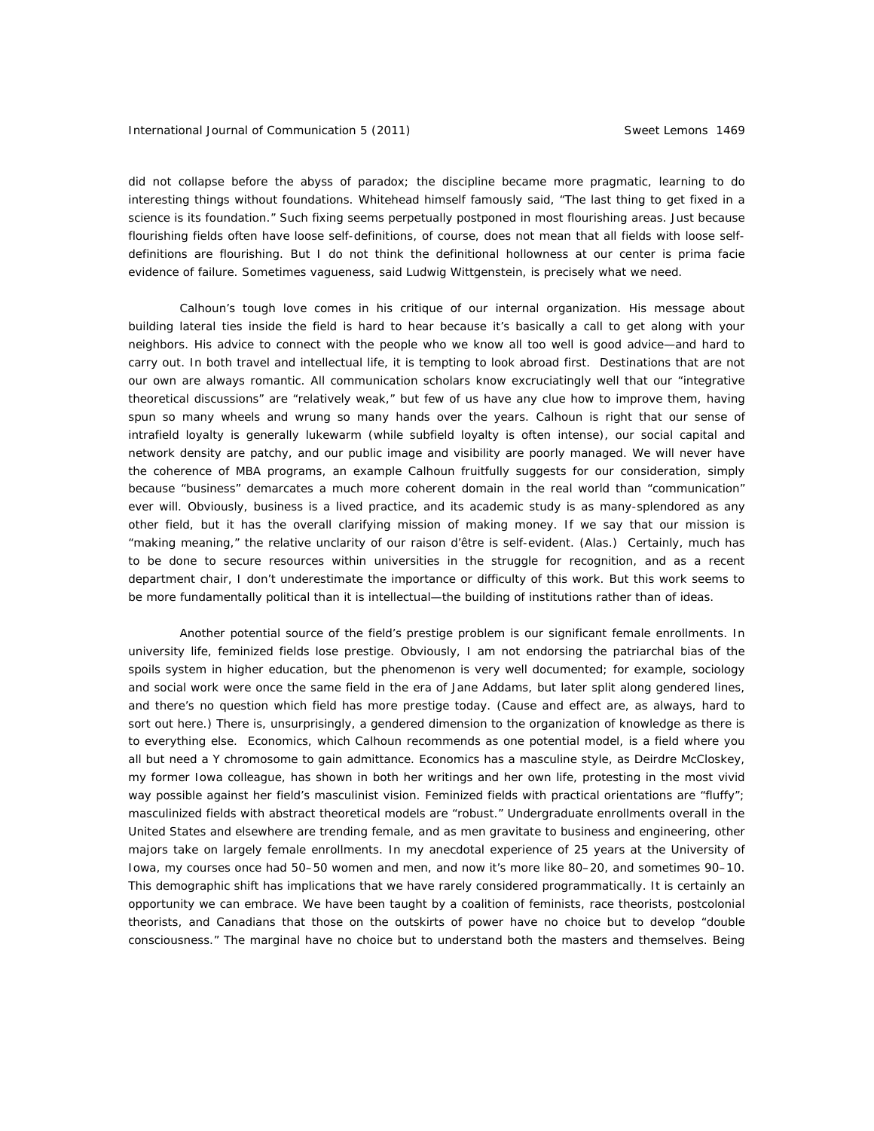did not collapse before the abyss of paradox; the discipline became more pragmatic, learning to do interesting things without foundations. Whitehead himself famously said, "The last thing to get fixed in a science is its foundation." Such fixing seems perpetually postponed in most flourishing areas. Just because flourishing fields often have loose self-definitions, of course, does not mean that all fields with loose selfdefinitions are flourishing. But I do not think the definitional hollowness at our center is prima facie evidence of failure. Sometimes vagueness, said Ludwig Wittgenstein, is precisely what we need.

Calhoun's tough love comes in his critique of our internal organization. His message about building lateral ties inside the field is hard to hear because it's basically a call to get along with your neighbors. His advice to connect with the people who we know all too well is good advice—and hard to carry out. In both travel and intellectual life, it is tempting to look abroad first. Destinations that are not our own are always romantic. All communication scholars know excruciatingly well that our "integrative theoretical discussions" are "relatively weak," but few of us have any clue how to improve them, having spun so many wheels and wrung so many hands over the years. Calhoun is right that our sense of intrafield loyalty is generally lukewarm (while subfield loyalty is often intense), our social capital and network density are patchy, and our public image and visibility are poorly managed. We will never have the coherence of MBA programs, an example Calhoun fruitfully suggests for our consideration, simply because "business" demarcates a much more coherent domain in the real world than "communication" ever will. Obviously, business is a lived practice, and its academic study is as many-splendored as any other field, but it has the overall clarifying mission of making money. If we say that our mission is "making meaning," the relative unclarity of our raison d'être is self-evident. (Alas.) Certainly, much has to be done to secure resources within universities in the struggle for recognition, and as a recent department chair, I don't underestimate the importance or difficulty of this work. But this work seems to be more fundamentally political than it is intellectual—the building of institutions rather than of ideas.

Another potential source of the field's prestige problem is our significant female enrollments. In university life, feminized fields lose prestige. Obviously, I am not endorsing the patriarchal bias of the spoils system in higher education, but the phenomenon is very well documented; for example, sociology and social work were once the same field in the era of Jane Addams, but later split along gendered lines, and there's no question which field has more prestige today. (Cause and effect are, as always, hard to sort out here.) There is, unsurprisingly, a gendered dimension to the organization of knowledge as there is to everything else. Economics, which Calhoun recommends as one potential model, is a field where you all but need a Y chromosome to gain admittance. Economics has a masculine style, as Deirdre McCloskey, my former Iowa colleague, has shown in both her writings and her own life, protesting in the most vivid way possible against her field's masculinist vision. Feminized fields with practical orientations are "fluffy"; masculinized fields with abstract theoretical models are "robust." Undergraduate enrollments overall in the United States and elsewhere are trending female, and as men gravitate to business and engineering, other majors take on largely female enrollments. In my anecdotal experience of 25 years at the University of Iowa, my courses once had 50–50 women and men, and now it's more like 80–20, and sometimes 90–10. This demographic shift has implications that we have rarely considered programmatically. It is certainly an opportunity we can embrace. We have been taught by a coalition of feminists, race theorists, postcolonial theorists, and Canadians that those on the outskirts of power have no choice but to develop "double consciousness." The marginal have no choice but to understand both the masters and themselves. Being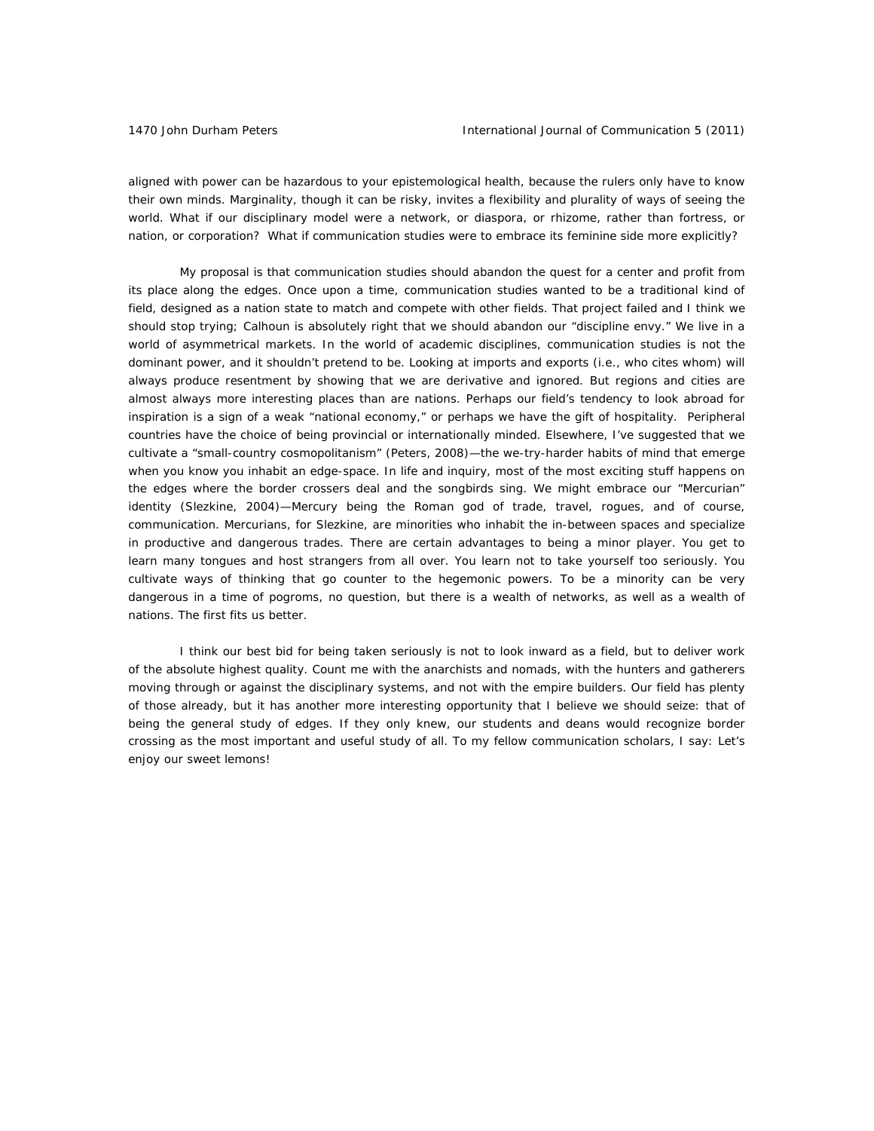aligned with power can be hazardous to your epistemological health, because the rulers only have to know their own minds. Marginality, though it can be risky, invites a flexibility and plurality of ways of seeing the world. What if our disciplinary model were a network, or diaspora, or rhizome, rather than fortress, or nation, or corporation? What if communication studies were to embrace its feminine side more explicitly?

My proposal is that communication studies should abandon the quest for a center and profit from its place along the edges. Once upon a time, communication studies wanted to be a traditional kind of field, designed as a nation state to match and compete with other fields. That project failed and I think we should stop trying; Calhoun is absolutely right that we should abandon our "discipline envy." We live in a world of asymmetrical markets. In the world of academic disciplines, communication studies is not the dominant power, and it shouldn't pretend to be. Looking at imports and exports (i.e., who cites whom) will always produce resentment by showing that we are derivative and ignored. But regions and cities are almost always more interesting places than are nations. Perhaps our field's tendency to look abroad for inspiration is a sign of a weak "national economy," or perhaps we have the gift of hospitality. Peripheral countries have the choice of being provincial or internationally minded. Elsewhere, I've suggested that we cultivate a "small-country cosmopolitanism" (Peters, 2008)—the we-try-harder habits of mind that emerge when you know you inhabit an edge-space. In life and inquiry, most of the most exciting stuff happens on the edges where the border crossers deal and the songbirds sing. We might embrace our "Mercurian" identity (Slezkine, 2004)—Mercury being the Roman god of trade, travel, rogues, and of course, communication. Mercurians, for Slezkine, are minorities who inhabit the in-between spaces and specialize in productive and dangerous trades. There are certain advantages to being a minor player. You get to learn many tongues and host strangers from all over. You learn not to take yourself too seriously. You cultivate ways of thinking that go counter to the hegemonic powers. To be a minority can be very dangerous in a time of pogroms, no question, but there is a wealth of networks, as well as a wealth of nations. The first fits us better.

I think our best bid for being taken seriously is not to look inward as a field, but to deliver work of the absolute highest quality. Count me with the anarchists and nomads, with the hunters and gatherers moving through or against the disciplinary systems, and not with the empire builders. Our field has plenty of those already, but it has another more interesting opportunity that I believe we should seize: that of being the general study of edges. If they only knew, our students and deans would recognize border crossing as the most important and useful study of all. To my fellow communication scholars, I say: Let's enjoy our sweet lemons!